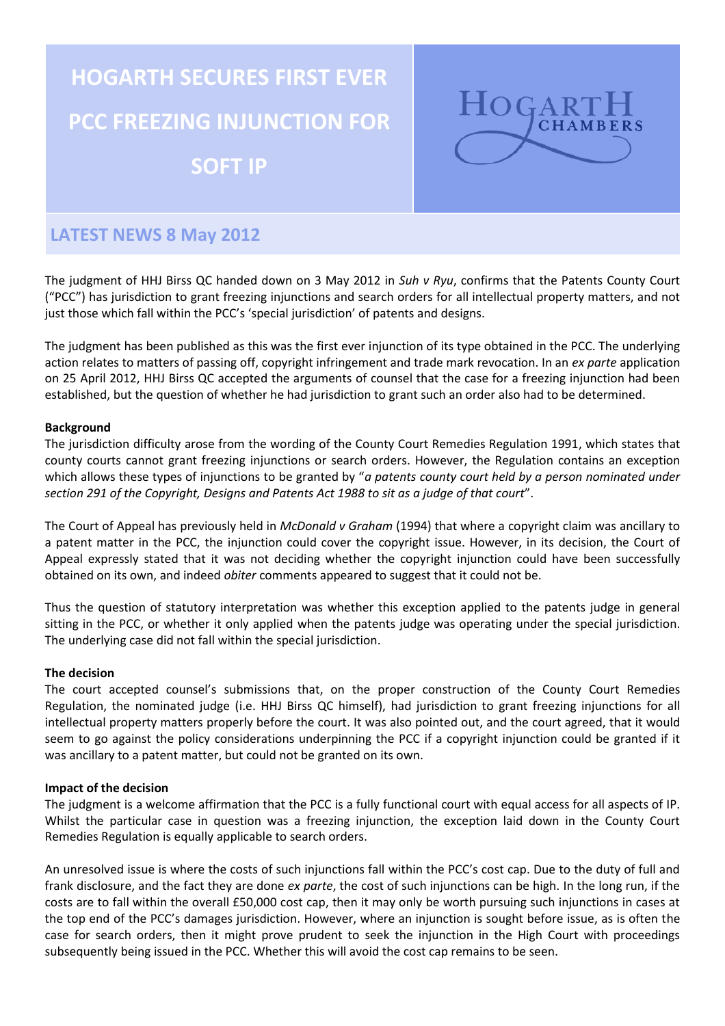# **HOGARTH SECURES FIRST EVER PCC FREEZING INJUNCTION FOR SOFT IP**



# **LATEST NEWS 8 May 2012**

The judgment of HHJ Birss QC handed down on 3 May 2012 in *Suh v Ryu*, confirms that the Patents County Court ("PCC") has jurisdiction to grant freezing injunctions and search orders for all intellectual property matters, and not just those which fall within the PCC's 'special jurisdiction' of patents and designs.

The judgment has been published as this was the first ever injunction of its type obtained in the PCC. The underlying action relates to matters of passing off, copyright infringement and trade mark revocation. In an *ex parte* application on 25 April 2012, HHJ Birss QC accepted the arguments of counsel that the case for a freezing injunction had been established, but the question of whether he had jurisdiction to grant such an order also had to be determined.

## **Background**

The jurisdiction difficulty arose from the wording of the County Court Remedies Regulation 1991, which states that county courts cannot grant freezing injunctions or search orders. However, the Regulation contains an exception which allows these types of injunctions to be granted by "*a patents county court held by a person nominated under section 291 of the Copyright, Designs and Patents Act 1988 to sit as a judge of that court*".

The Court of Appeal has previously held in *McDonald v Graham* (1994) that where a copyright claim was ancillary to a patent matter in the PCC, the injunction could cover the copyright issue. However, in its decision, the Court of Appeal expressly stated that it was not deciding whether the copyright injunction could have been successfully obtained on its own, and indeed *obiter* comments appeared to suggest that it could not be.

Thus the question of statutory interpretation was whether this exception applied to the patents judge in general sitting in the PCC, or whether it only applied when the patents judge was operating under the special jurisdiction. The underlying case did not fall within the special jurisdiction.

### **The decision**

The court accepted counsel's submissions that, on the proper construction of the County Court Remedies Regulation, the nominated judge (i.e. HHJ Birss QC himself), had jurisdiction to grant freezing injunctions for all intellectual property matters properly before the court. It was also pointed out, and the court agreed, that it would seem to go against the policy considerations underpinning the PCC if a copyright injunction could be granted if it was ancillary to a patent matter, but could not be granted on its own.

### **Impact of the decision**

The judgment is a welcome affirmation that the PCC is a fully functional court with equal access for all aspects of IP. Whilst the particular case in question was a freezing injunction, the exception laid down in the County Court Remedies Regulation is equally applicable to search orders.

An unresolved issue is where the costs of such injunctions fall within the PCC's cost cap. Due to the duty of full and frank disclosure, and the fact they are done *ex parte*, the cost of such injunctions can be high. In the long run, if the costs are to fall within the overall £50,000 cost cap, then it may only be worth pursuing such injunctions in cases at the top end of the PCC's damages jurisdiction. However, where an injunction is sought before issue, as is often the case for search orders, then it might prove prudent to seek the injunction in the High Court with proceedings subsequently being issued in the PCC. Whether this will avoid the cost cap remains to be seen.